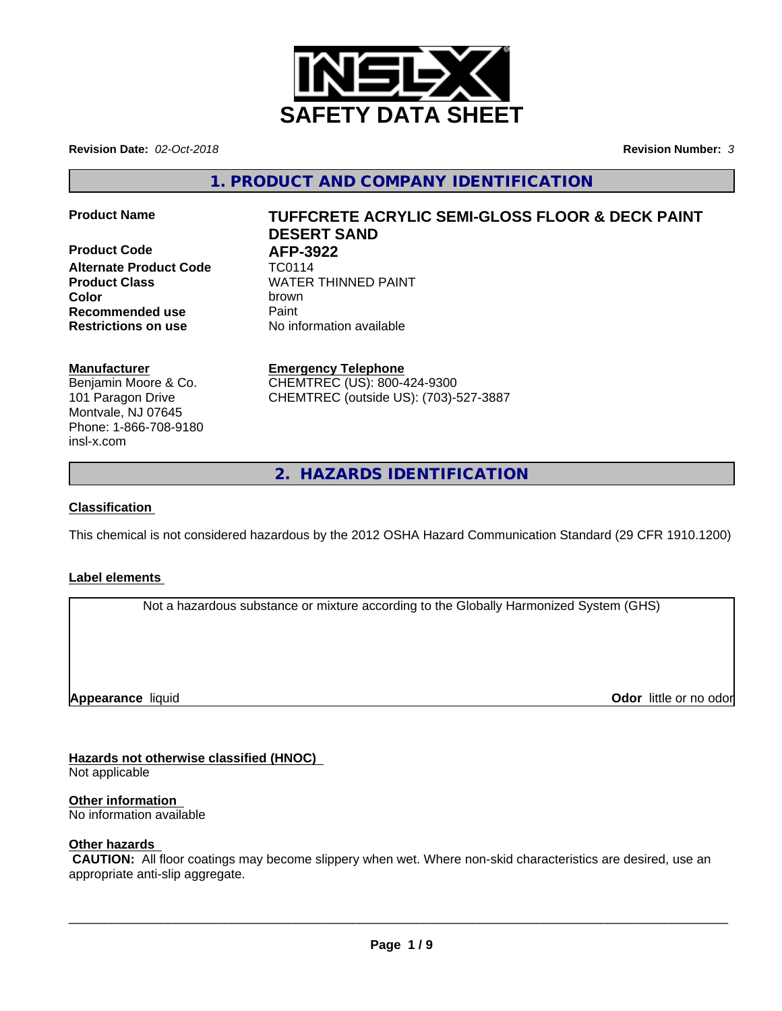

**Revision Date:** *02-Oct-2018* **Revision Number:** *3*

**1. PRODUCT AND COMPANY IDENTIFICATION**

**Product Code 61 AFP-3922**<br>**Alternate Product Code** TC0114 **Alternate Product Code Recommended use Caint Restrictions on use** No information available

# **Product Name TUFFCRETE ACRYLIC SEMI-GLOSS FLOOR & DECK PAINT DESERT SAND**

**Product Class WATER THINNED PAINT Color** brown

### **Manufacturer**

Benjamin Moore & Co. 101 Paragon Drive Montvale, NJ 07645 Phone: 1-866-708-9180 insl-x.com

**Emergency Telephone** CHEMTREC (US): 800-424-9300 CHEMTREC (outside US): (703)-527-3887

**2. HAZARDS IDENTIFICATION**

### **Classification**

This chemical is not considered hazardous by the 2012 OSHA Hazard Communication Standard (29 CFR 1910.1200)

### **Label elements**

Not a hazardous substance or mixture according to the Globally Harmonized System (GHS)

**Appearance** liquid

**Odor** little or no odor

# **Hazards not otherwise classified (HNOC)**

Not applicable

# **Other information**

No information available

### **Other hazards**

 **CAUTION:** All floor coatings may become slippery when wet. Where non-skid characteristics are desired, use an appropriate anti-slip aggregate.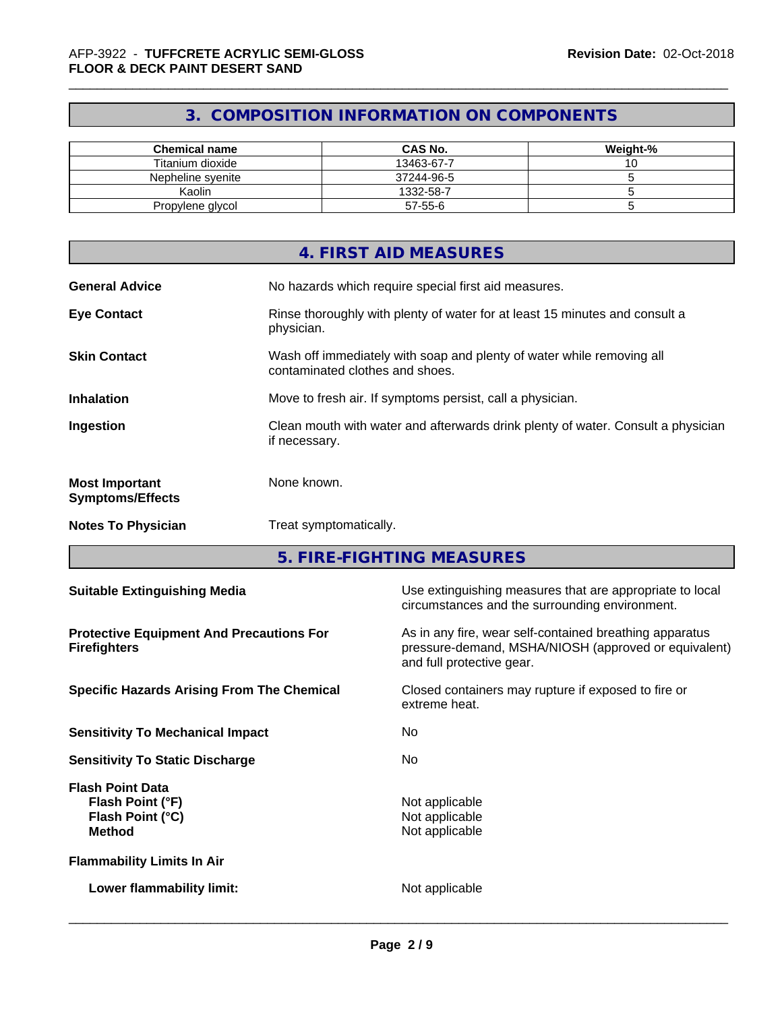# **3. COMPOSITION INFORMATION ON COMPONENTS**

| <b>Chemical name</b> | <b>CAS No.</b> | Weight-% |
|----------------------|----------------|----------|
| Titanium dioxide     | 13463-67-7     | ັ        |
| Nepheline svenite    | 37244-96-5     |          |
| Kaolin               | 1332-58-7      |          |
| Propylene glycol     | 57-55-6        |          |

|                                                  | 4. FIRST AID MEASURES                                                                                    |
|--------------------------------------------------|----------------------------------------------------------------------------------------------------------|
| <b>General Advice</b>                            | No hazards which require special first aid measures.                                                     |
| <b>Eye Contact</b>                               | Rinse thoroughly with plenty of water for at least 15 minutes and consult a<br>physician.                |
| <b>Skin Contact</b>                              | Wash off immediately with soap and plenty of water while removing all<br>contaminated clothes and shoes. |
| <b>Inhalation</b>                                | Move to fresh air. If symptoms persist, call a physician.                                                |
| Ingestion                                        | Clean mouth with water and afterwards drink plenty of water. Consult a physician<br>if necessary.        |
| <b>Most Important</b><br><b>Symptoms/Effects</b> | None known.                                                                                              |
| <b>Notes To Physician</b>                        | Treat symptomatically.                                                                                   |

**5. FIRE-FIGHTING MEASURES**

| Use extinguishing measures that are appropriate to local<br><b>Suitable Extinguishing Media</b><br>circumstances and the surrounding environment.                                                                      |  |
|------------------------------------------------------------------------------------------------------------------------------------------------------------------------------------------------------------------------|--|
| As in any fire, wear self-contained breathing apparatus<br><b>Protective Equipment And Precautions For</b><br>pressure-demand, MSHA/NIOSH (approved or equivalent)<br><b>Firefighters</b><br>and full protective gear. |  |
| Closed containers may rupture if exposed to fire or<br><b>Specific Hazards Arising From The Chemical</b><br>extreme heat.                                                                                              |  |
| <b>Sensitivity To Mechanical Impact</b><br>No.                                                                                                                                                                         |  |
| No.<br><b>Sensitivity To Static Discharge</b>                                                                                                                                                                          |  |
| <b>Flash Point Data</b><br>Not applicable<br>Flash Point (°F)<br>Not applicable<br>Flash Point (°C)<br>Not applicable<br><b>Method</b>                                                                                 |  |
| <b>Flammability Limits In Air</b>                                                                                                                                                                                      |  |
| Not applicable<br>Lower flammability limit:                                                                                                                                                                            |  |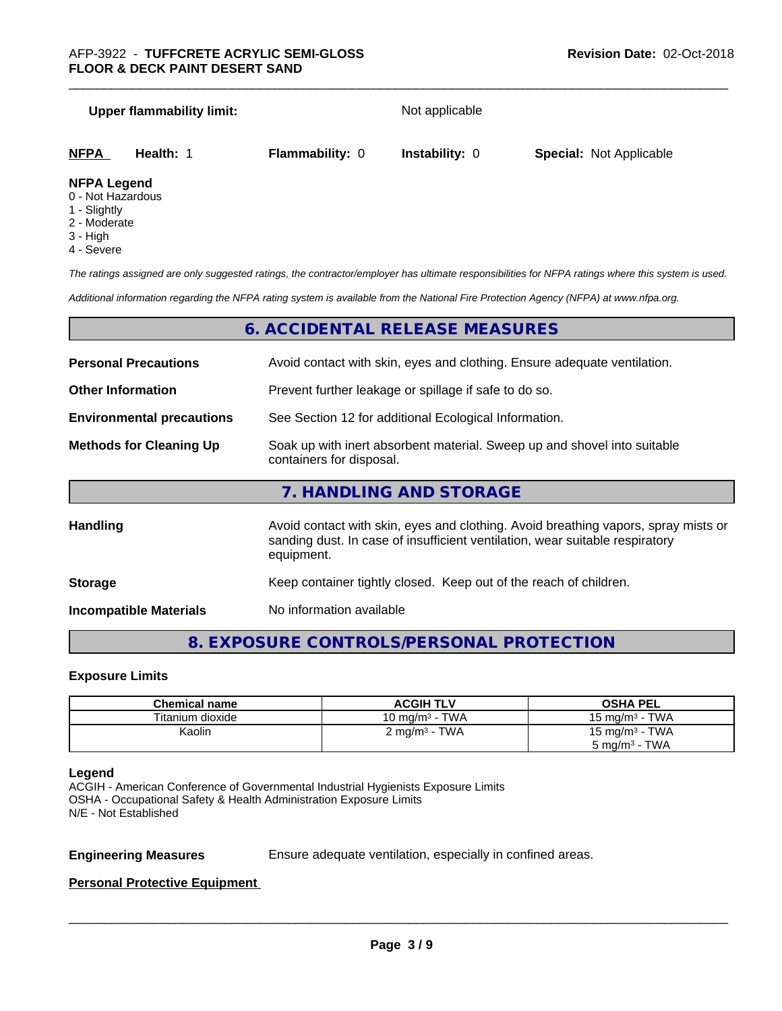### **Upper flammability limit:** Not applicable

| <b>NFPA</b> | Health: | <b>Flammability: 0</b> | <b>Instability: 0</b> | <b>Special: Not Applicable</b> |  |
|-------------|---------|------------------------|-----------------------|--------------------------------|--|
| _ _ _ _ _ _ |         |                        |                       |                                |  |

### **NFPA Legend**

- 0 Not Hazardous
- 1 Slightly
- 2 Moderate
- 3 High
- 4 Severe

*The ratings assigned are only suggested ratings, the contractor/employer has ultimate responsibilities for NFPA ratings where this system is used.*

*Additional information regarding the NFPA rating system is available from the National Fire Protection Agency (NFPA) at www.nfpa.org.*

# **6. ACCIDENTAL RELEASE MEASURES**

| <b>Personal Precautions</b>      | Avoid contact with skin, eyes and clothing. Ensure adequate ventilation.                                                                                                         |  |
|----------------------------------|----------------------------------------------------------------------------------------------------------------------------------------------------------------------------------|--|
| <b>Other Information</b>         | Prevent further leakage or spillage if safe to do so.                                                                                                                            |  |
| <b>Environmental precautions</b> | See Section 12 for additional Ecological Information.                                                                                                                            |  |
| <b>Methods for Cleaning Up</b>   | Soak up with inert absorbent material. Sweep up and shovel into suitable<br>containers for disposal.                                                                             |  |
|                                  | 7. HANDLING AND STORAGE                                                                                                                                                          |  |
| <b>Handling</b>                  | Avoid contact with skin, eyes and clothing. Avoid breathing vapors, spray mists or<br>sanding dust. In case of insufficient ventilation, wear suitable respiratory<br>equipment. |  |
|                                  |                                                                                                                                                                                  |  |

**Storage Storage Keep container tightly closed. Keep out of the reach of children.** 

**Incompatible Materials** No information available

# **8. EXPOSURE CONTROLS/PERSONAL PROTECTION**

### **Exposure Limits**

| <b>Chemical name</b> | <b>ACGIH TLV</b>          | <b>OSHA PEL</b>            |
|----------------------|---------------------------|----------------------------|
| Titanium dioxide     | 10 mg/m $3$ - TWA         | 15 mg/m $3$ - TWA          |
| Kaolin               | 2 mg/m <sup>3</sup> - TWA | 15 mg/m <sup>3</sup> - TWA |
|                      |                           | $5 \text{ mg/m}^3$ - TWA   |

### **Legend**

ACGIH - American Conference of Governmental Industrial Hygienists Exposure Limits OSHA - Occupational Safety & Health Administration Exposure Limits N/E - Not Established

**Engineering Measures** Ensure adequate ventilation, especially in confined areas.

 $\overline{\phantom{a}}$  ,  $\overline{\phantom{a}}$  ,  $\overline{\phantom{a}}$  ,  $\overline{\phantom{a}}$  ,  $\overline{\phantom{a}}$  ,  $\overline{\phantom{a}}$  ,  $\overline{\phantom{a}}$  ,  $\overline{\phantom{a}}$  ,  $\overline{\phantom{a}}$  ,  $\overline{\phantom{a}}$  ,  $\overline{\phantom{a}}$  ,  $\overline{\phantom{a}}$  ,  $\overline{\phantom{a}}$  ,  $\overline{\phantom{a}}$  ,  $\overline{\phantom{a}}$  ,  $\overline{\phantom{a}}$ 

### **Personal Protective Equipment**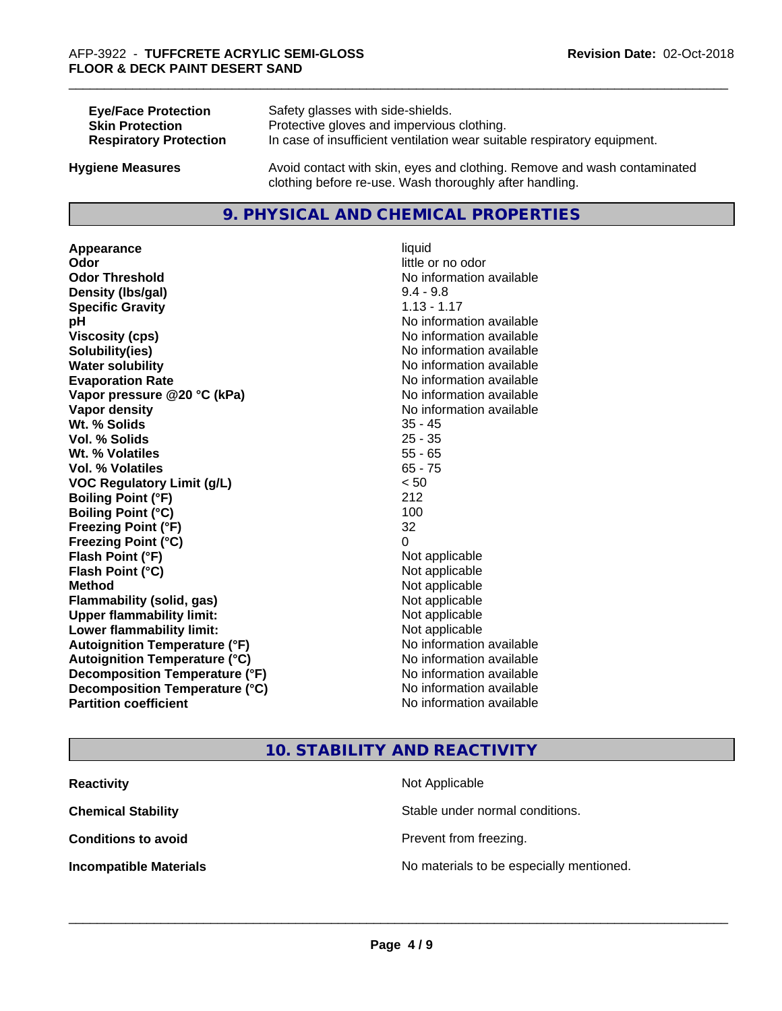| <b>Eye/Face Protection</b>    | Safety glasses with side-shields.                                        |
|-------------------------------|--------------------------------------------------------------------------|
| <b>Skin Protection</b>        | Protective gloves and impervious clothing.                               |
| <b>Respiratory Protection</b> | In case of insufficient ventilation wear suitable respiratory equipment. |
| Juaiona Maaauraa              | Avoid contact with ckin, avec and clothing. Bomeve and wash contaminated |

**Hygiene Measures** Avoid contact with skin, eyes and clothing. Remove and wash contaminated clothing before re-use. Wash thoroughly after handling.

# **9. PHYSICAL AND CHEMICAL PROPERTIES**

**Appearance** liquid **Odor** little or no odor **Odor Threshold**<br> **Density (Ibs/aal)**<br> **Density (Ibs/aal)**<br> **Density (Ibs/aal)**<br> **Density (Ibs/aal) Density (lbs/gal) Specific Gravity** 1.13 - 1.17 **pH** No information available **Viscosity (cps)** No information available **Solubility(ies)** No information available **Water solubility Water solubility Water solubility Water solubility Water solubility Water solution Evaporation Rate No information available No information available Vapor pressure @20 °C (kPa)** No information available **Vapor density No information available Wt. % Solids** 35 - 45 **Vol. % Solids** 25 - 35 **Wt. % Volatiles** 55 - 65 **Vol. % Volatiles** 65 - 75 **VOC Regulatory Limit (g/L)** < 50 **Boiling Point (°F)** 212 **Boiling Point (°C)** 100 **Freezing Point (°F)** 32 **Freezing Point (°C)** 0 **Flash Point (°F)** Not applicable **Flash Point (°C)** Not applicable **Method** Not applicable **Flammability (solid, gas)** Not applicable **Upper flammability limit:** Not applicable **Lower flammability limit:** Not applicable **Autoignition Temperature (°F)** No information available **Autoignition Temperature (°C)** No information available **Decomposition Temperature (°F)** No information available **Decomposition Temperature (°C)** No information available<br> **Partition coefficient Partition available** 

# **No information available**

# **10. STABILITY AND REACTIVITY**

| <b>Reactivity</b>             | Not Applicable                           |
|-------------------------------|------------------------------------------|
| <b>Chemical Stability</b>     | Stable under normal conditions.          |
| <b>Conditions to avoid</b>    | Prevent from freezing.                   |
| <b>Incompatible Materials</b> | No materials to be especially mentioned. |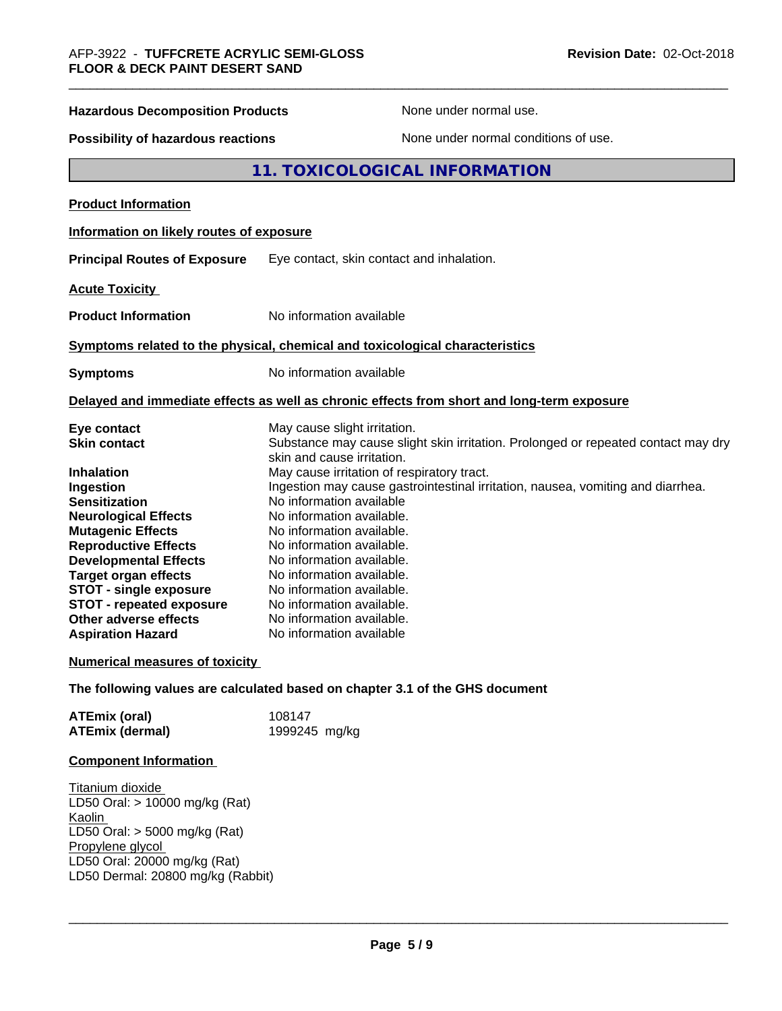| <b>Hazardous Decomposition Products</b>                                    | None under normal use.                                                                     |  |
|----------------------------------------------------------------------------|--------------------------------------------------------------------------------------------|--|
| None under normal conditions of use.<br>Possibility of hazardous reactions |                                                                                            |  |
|                                                                            | 11. TOXICOLOGICAL INFORMATION                                                              |  |
| <b>Product Information</b>                                                 |                                                                                            |  |
| Information on likely routes of exposure                                   |                                                                                            |  |
| <b>Principal Routes of Exposure</b>                                        | Eye contact, skin contact and inhalation.                                                  |  |
| <b>Acute Toxicity</b>                                                      |                                                                                            |  |
| <b>Product Information</b>                                                 | No information available                                                                   |  |
|                                                                            | Symptoms related to the physical, chemical and toxicological characteristics               |  |
| <b>Symptoms</b>                                                            | No information available                                                                   |  |
|                                                                            | Delayed and immediate effects as well as chronic effects from short and long-term exposure |  |
| Eye contact                                                                | May cause slight irritation.                                                               |  |
| <b>Skin contact</b>                                                        | Substance may cause slight skin irritation. Prolonged or repeated contact may dry          |  |
| Inhalation                                                                 | skin and cause irritation.<br>May cause irritation of respiratory tract.                   |  |
| Ingestion                                                                  | Ingestion may cause gastrointestinal irritation, nausea, vomiting and diarrhea.            |  |
| <b>Sensitization</b>                                                       | No information available                                                                   |  |
| <b>Neurological Effects</b>                                                | No information available.                                                                  |  |
| <b>Mutagenic Effects</b>                                                   | No information available.                                                                  |  |
| <b>Reproductive Effects</b>                                                | No information available.                                                                  |  |
| <b>Developmental Effects</b>                                               | No information available.                                                                  |  |
| <b>Target organ effects</b>                                                | No information available.                                                                  |  |
| <b>STOT - single exposure</b>                                              | No information available.                                                                  |  |
| <b>STOT - repeated exposure</b>                                            | No information available.                                                                  |  |
| Other adverse effects                                                      | No information available.                                                                  |  |
| <b>Aspiration Hazard</b>                                                   | No information available                                                                   |  |
| <b>Numerical measures of toxicity</b>                                      |                                                                                            |  |
|                                                                            | The following values are calculated based on chapter 3.1 of the GHS document               |  |
| <b>ATEmix (oral)</b>                                                       | 108147                                                                                     |  |
| <b>ATEmix (dermal)</b>                                                     | 1999245 mg/kg                                                                              |  |
| <b>Component Information</b>                                               |                                                                                            |  |

Titanium dioxide LD50 Oral: > 10000 mg/kg (Rat) Kaolin LD50 Oral: > 5000 mg/kg (Rat) Propylene glycol LD50 Oral: 20000 mg/kg (Rat) LD50 Dermal: 20800 mg/kg (Rabbit)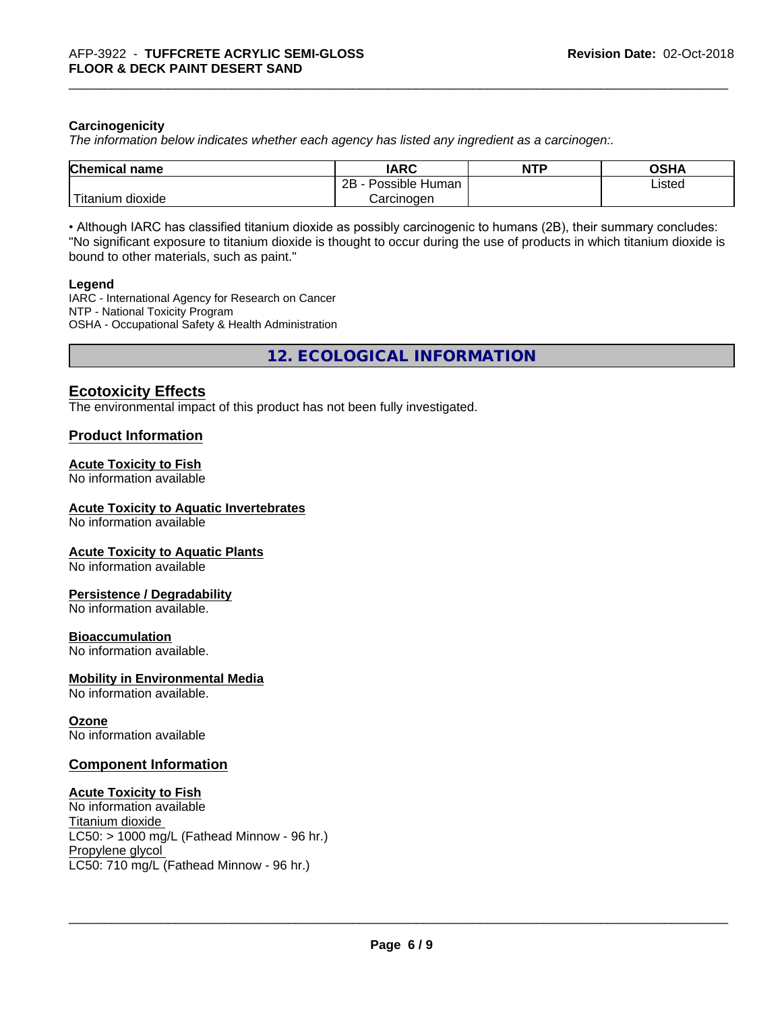### **Carcinogenicity**

*The information below indicateswhether each agency has listed any ingredient as a carcinogen:.*

| <b>Chemical name</b>         | <b>IARC</b>               | <b>NTP</b> | <b>OGHY</b><br>שסט |
|------------------------------|---------------------------|------------|--------------------|
|                              | .<br>2B<br>Possible Human |            | Listed             |
| نت ا<br>dioxide<br>l itanıum | Carcinogen                |            |                    |

• Although IARC has classified titanium dioxide as possibly carcinogenic to humans (2B), their summary concludes: "No significant exposure to titanium dioxide is thought to occur during the use of products in which titanium dioxide is bound to other materials, such as paint."

### **Legend**

IARC - International Agency for Research on Cancer NTP - National Toxicity Program OSHA - Occupational Safety & Health Administration

**12. ECOLOGICAL INFORMATION**

# **Ecotoxicity Effects**

The environmental impact of this product has not been fully investigated.

### **Product Information**

### **Acute Toxicity to Fish**

No information available

### **Acute Toxicity to Aquatic Invertebrates**

No information available

### **Acute Toxicity to Aquatic Plants**

No information available

### **Persistence / Degradability**

No information available.

### **Bioaccumulation**

No information available.

### **Mobility in Environmental Media**

No information available.

### **Ozone**

No information available

### **Component Information**

### **Acute Toxicity to Fish**

No information available Titanium dioxide  $LC50:$  > 1000 mg/L (Fathead Minnow - 96 hr.) Propylene glycol LC50: 710 mg/L (Fathead Minnow - 96 hr.)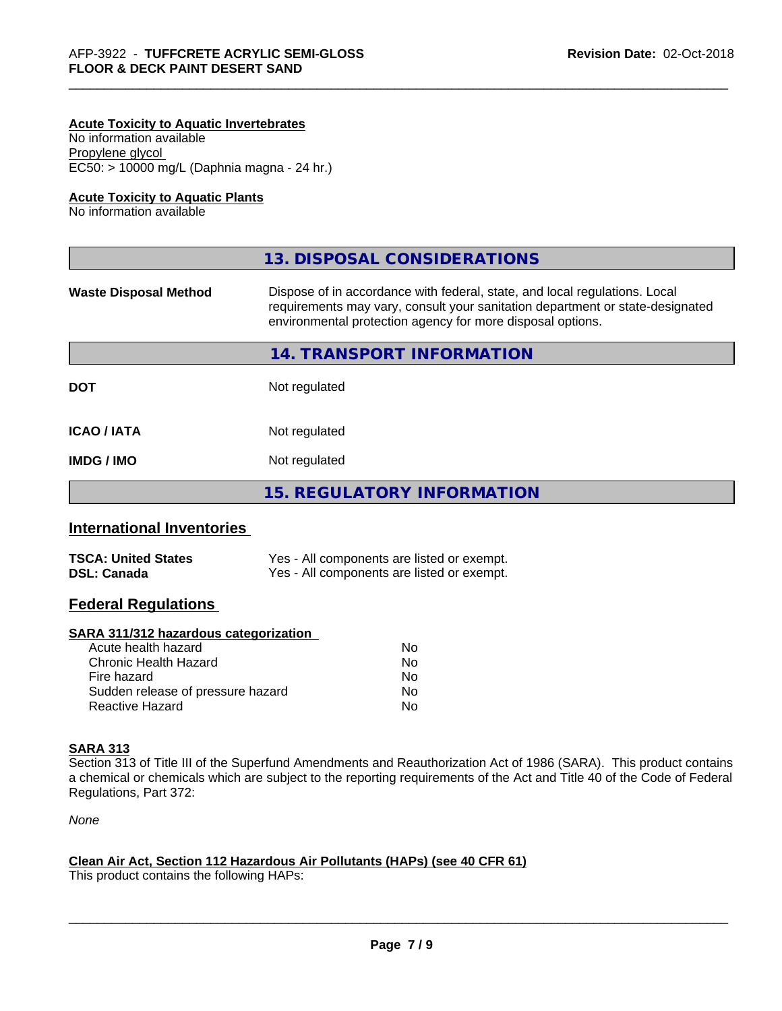### **Acute Toxicity to Aquatic Invertebrates**

No information available Propylene glycol EC50: > 10000 mg/L (Daphnia magna - 24 hr.)

### **Acute Toxicity to Aquatic Plants**

No information available

|                              | 13. DISPOSAL CONSIDERATIONS                                                                                                                                                                                               |
|------------------------------|---------------------------------------------------------------------------------------------------------------------------------------------------------------------------------------------------------------------------|
| <b>Waste Disposal Method</b> | Dispose of in accordance with federal, state, and local regulations. Local<br>requirements may vary, consult your sanitation department or state-designated<br>environmental protection agency for more disposal options. |
|                              | 14. TRANSPORT INFORMATION                                                                                                                                                                                                 |
| <b>DOT</b>                   | Not regulated                                                                                                                                                                                                             |
| <b>ICAO/IATA</b>             | Not regulated                                                                                                                                                                                                             |
| <b>IMDG/IMO</b>              | Not regulated                                                                                                                                                                                                             |
|                              | 15. REGULATORY INFORMATION                                                                                                                                                                                                |

# **International Inventories**

| <b>TSCA: United States</b> | Yes - All components are listed or exempt. |
|----------------------------|--------------------------------------------|
| <b>DSL: Canada</b>         | Yes - All components are listed or exempt. |

### **Federal Regulations**

### **SARA 311/312 hazardous categorization**

| Acute health hazard               | No. |
|-----------------------------------|-----|
| Chronic Health Hazard             | No. |
| Fire hazard                       | No. |
| Sudden release of pressure hazard | Nο  |
| Reactive Hazard                   | N٥  |

# **SARA 313**

Section 313 of Title III of the Superfund Amendments and Reauthorization Act of 1986 (SARA). This product contains a chemical or chemicals which are subject to the reporting requirements of the Act and Title 40 of the Code of Federal Regulations, Part 372:

*None*

### **Clean Air Act,Section 112 Hazardous Air Pollutants (HAPs) (see 40 CFR 61)**

This product contains the following HAPs: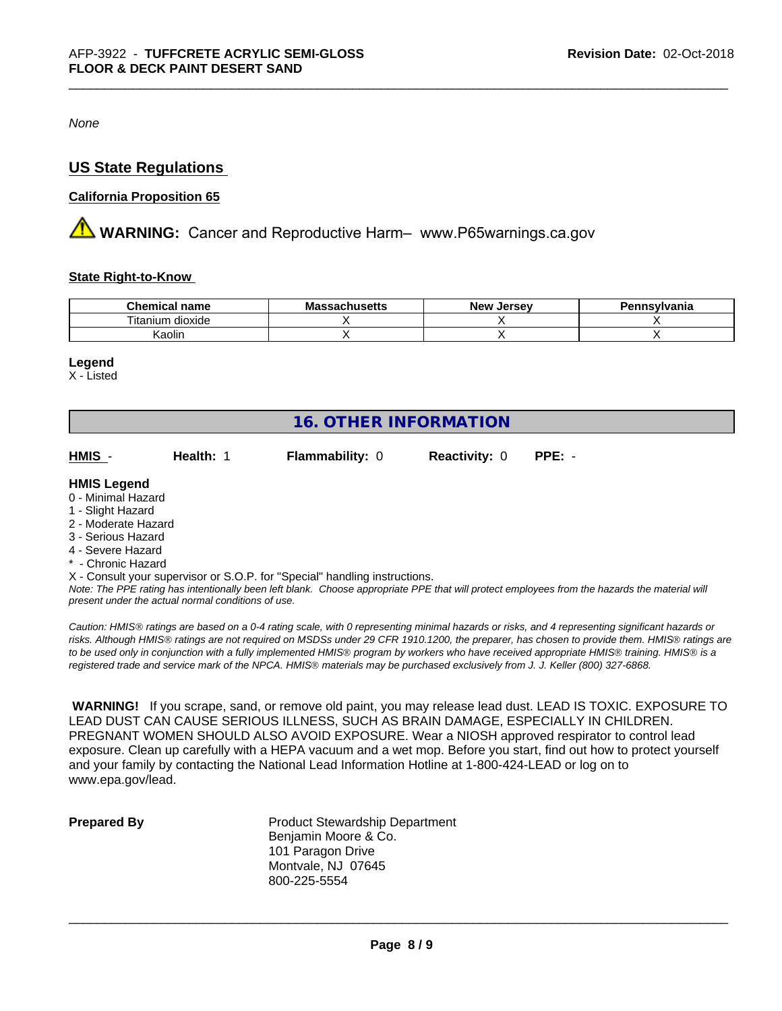*None*

# **US State Regulations**

### **California Proposition 65**

**AVIMARNING:** Cancer and Reproductive Harm– www.P65warnings.ca.gov

### **State Right-to-Know**

| <b>Chemical</b><br>name                                 | IVIA<br>. saul luscits | <b>Jerse</b> v<br><b>Nev</b> | าทรงIvania |
|---------------------------------------------------------|------------------------|------------------------------|------------|
| $\cdots$<br>$- \cdot$<br>dioxide<br>um<br><b>Itanii</b> |                        |                              |            |
| Kaolin                                                  |                        |                              |            |

### **Legend**

X - Listed

| <b>16. OTHER INFORMATION</b> |           |                                                                            |                      |          |  |  |
|------------------------------|-----------|----------------------------------------------------------------------------|----------------------|----------|--|--|
| HMIS -                       | Health: 1 | <b>Flammability: 0</b>                                                     | <b>Reactivity: 0</b> | $PPE: -$ |  |  |
| <b>HMIS Legend</b>           |           |                                                                            |                      |          |  |  |
| 0 - Minimal Hazard           |           |                                                                            |                      |          |  |  |
| 1 - Slight Hazard            |           |                                                                            |                      |          |  |  |
| 2 - Moderate Hazard          |           |                                                                            |                      |          |  |  |
| 3 - Serious Hazard           |           |                                                                            |                      |          |  |  |
| 4 - Severe Hazard            |           |                                                                            |                      |          |  |  |
| * - Chronic Hazard           |           |                                                                            |                      |          |  |  |
|                              |           | X - Consult your supervisor or S.O.P. for "Special" handling instructions. |                      |          |  |  |

*Note: The PPE rating has intentionally been left blank. Choose appropriate PPE that will protect employees from the hazards the material will present under the actual normal conditions of use.*

*Caution: HMISÒ ratings are based on a 0-4 rating scale, with 0 representing minimal hazards or risks, and 4 representing significant hazards or risks. Although HMISÒ ratings are not required on MSDSs under 29 CFR 1910.1200, the preparer, has chosen to provide them. HMISÒ ratings are to be used only in conjunction with a fully implemented HMISÒ program by workers who have received appropriate HMISÒ training. HMISÒ is a registered trade and service mark of the NPCA. HMISÒ materials may be purchased exclusively from J. J. Keller (800) 327-6868.*

 **WARNING!** If you scrape, sand, or remove old paint, you may release lead dust. LEAD IS TOXIC. EXPOSURE TO LEAD DUST CAN CAUSE SERIOUS ILLNESS, SUCH AS BRAIN DAMAGE, ESPECIALLY IN CHILDREN. PREGNANT WOMEN SHOULD ALSO AVOID EXPOSURE.Wear a NIOSH approved respirator to control lead exposure. Clean up carefully with a HEPA vacuum and a wet mop. Before you start, find out how to protect yourself and your family by contacting the National Lead Information Hotline at 1-800-424-LEAD or log on to www.epa.gov/lead.

**Prepared By** Product Stewardship Department Benjamin Moore & Co. 101 Paragon Drive Montvale, NJ 07645 800-225-5554